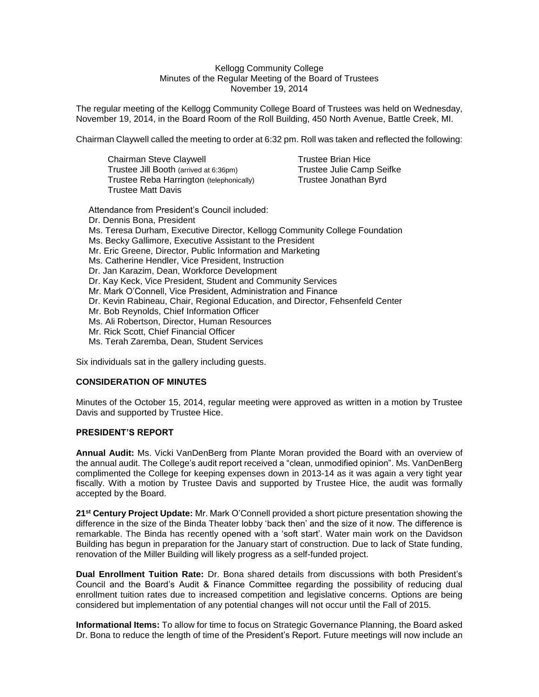### Kellogg Community College Minutes of the Regular Meeting of the Board of Trustees November 19, 2014

The regular meeting of the Kellogg Community College Board of Trustees was held on Wednesday, November 19, 2014, in the Board Room of the Roll Building, 450 North Avenue, Battle Creek, MI.

Chairman Claywell called the meeting to order at 6:32 pm. Roll was taken and reflected the following:

Chairman Steve Claywell **Trustee Brian Hice** Trustee Jill Booth (arrived at 6:36pm) Trustee Julie Camp Seifke<br>Trustee Reba Harrington (telephonically) Trustee Jonathan Byrd Trustee Reba Harrington (telephonically) Trustee Matt Davis

Attendance from President's Council included: Dr. Dennis Bona, President Ms. Teresa Durham, Executive Director, Kellogg Community College Foundation Ms. Becky Gallimore, Executive Assistant to the President Mr. Eric Greene, Director, Public Information and Marketing Ms. Catherine Hendler, Vice President, Instruction Dr. Jan Karazim, Dean, Workforce Development Dr. Kay Keck, Vice President, Student and Community Services Mr. Mark O'Connell, Vice President, Administration and Finance Dr. Kevin Rabineau, Chair, Regional Education, and Director, Fehsenfeld Center Mr. Bob Reynolds, Chief Information Officer Ms. Ali Robertson, Director, Human Resources Mr. Rick Scott, Chief Financial Officer Ms. Terah Zaremba, Dean, Student Services

Six individuals sat in the gallery including guests.

# **CONSIDERATION OF MINUTES**

Minutes of the October 15, 2014, regular meeting were approved as written in a motion by Trustee Davis and supported by Trustee Hice.

## **PRESIDENT'S REPORT**

**Annual Audit:** Ms. Vicki VanDenBerg from Plante Moran provided the Board with an overview of the annual audit. The College's audit report received a "clean, unmodified opinion". Ms. VanDenBerg complimented the College for keeping expenses down in 2013-14 as it was again a very tight year fiscally. With a motion by Trustee Davis and supported by Trustee Hice, the audit was formally accepted by the Board.

**21st Century Project Update:** Mr. Mark O'Connell provided a short picture presentation showing the difference in the size of the Binda Theater lobby 'back then' and the size of it now. The difference is remarkable. The Binda has recently opened with a 'soft start'. Water main work on the Davidson Building has begun in preparation for the January start of construction. Due to lack of State funding, renovation of the Miller Building will likely progress as a self-funded project.

**Dual Enrollment Tuition Rate:** Dr. Bona shared details from discussions with both President's Council and the Board's Audit & Finance Committee regarding the possibility of reducing dual enrollment tuition rates due to increased competition and legislative concerns. Options are being considered but implementation of any potential changes will not occur until the Fall of 2015.

**Informational Items:** To allow for time to focus on Strategic Governance Planning, the Board asked Dr. Bona to reduce the length of time of the President's Report. Future meetings will now include an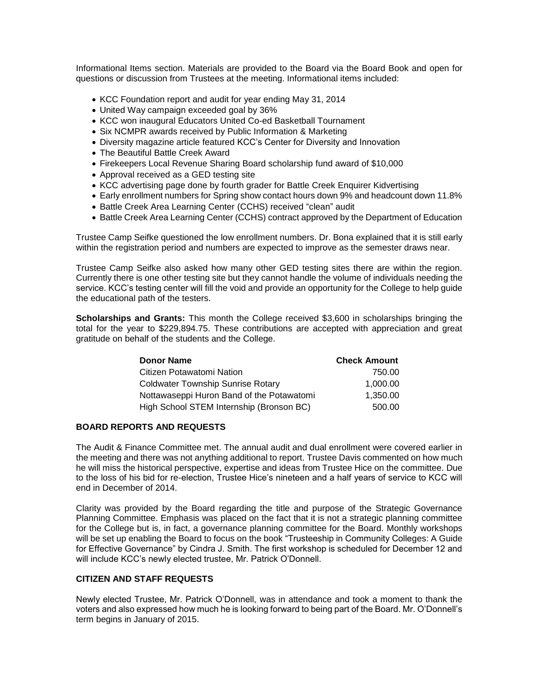Informational Items section. Materials are provided to the Board via the Board Book and open for questions or discussion from Trustees at the meeting. Informational items included:

- KCC Foundation report and audit for year ending May 31, 2014
- United Way campaign exceeded goal by 36%
- KCC won inaugural Educators United Co-ed Basketball Tournament
- Six NCMPR awards received by Public Information & Marketing
- Diversity magazine article featured KCC's Center for Diversity and Innovation
- The Beautiful Battle Creek Award
- Firekeepers Local Revenue Sharing Board scholarship fund award of \$10,000
- Approval received as a GED testing site
- KCC advertising page done by fourth grader for Battle Creek Enquirer Kidvertising
- Early enrollment numbers for Spring show contact hours down 9% and headcount down 11.8%
- Battle Creek Area Learning Center (CCHS) received "clean" audit
- Battle Creek Area Learning Center (CCHS) contract approved by the Department of Education

Trustee Camp Seifke questioned the low enrollment numbers. Dr. Bona explained that it is still early within the registration period and numbers are expected to improve as the semester draws near.

Trustee Camp Seifke also asked how many other GED testing sites there are within the region. Currently there is one other testing site but they cannot handle the volume of individuals needing the service. KCC's testing center will fill the void and provide an opportunity for the College to help guide the educational path of the testers.

**Scholarships and Grants:** This month the College received \$3,600 in scholarships bringing the total for the year to \$229,894.75. These contributions are accepted with appreciation and great gratitude on behalf of the students and the College.

| <b>Donor Name</b>                         | <b>Check Amount</b> |
|-------------------------------------------|---------------------|
| Citizen Potawatomi Nation                 | 750.00              |
| <b>Coldwater Township Sunrise Rotary</b>  | 1.000.00            |
| Nottawaseppi Huron Band of the Potawatomi | 1.350.00            |
| High School STEM Internship (Bronson BC)  | 500.00              |

# **BOARD REPORTS AND REQUESTS**

The Audit & Finance Committee met. The annual audit and dual enrollment were covered earlier in the meeting and there was not anything additional to report. Trustee Davis commented on how much he will miss the historical perspective, expertise and ideas from Trustee Hice on the committee. Due to the loss of his bid for re-election, Trustee Hice's nineteen and a half years of service to KCC will end in December of 2014.

Clarity was provided by the Board regarding the title and purpose of the Strategic Governance Planning Committee. Emphasis was placed on the fact that it is not a strategic planning committee for the College but is, in fact, a governance planning committee for the Board. Monthly workshops will be set up enabling the Board to focus on the book "Trusteeship in Community Colleges: A Guide for Effective Governance" by Cindra J. Smith. The first workshop is scheduled for December 12 and will include KCC's newly elected trustee, Mr. Patrick O'Donnell.

## **CITIZEN AND STAFF REQUESTS**

Newly elected Trustee, Mr. Patrick O'Donnell, was in attendance and took a moment to thank the voters and also expressed how much he is looking forward to being part of the Board. Mr. O'Donnell's term begins in January of 2015.